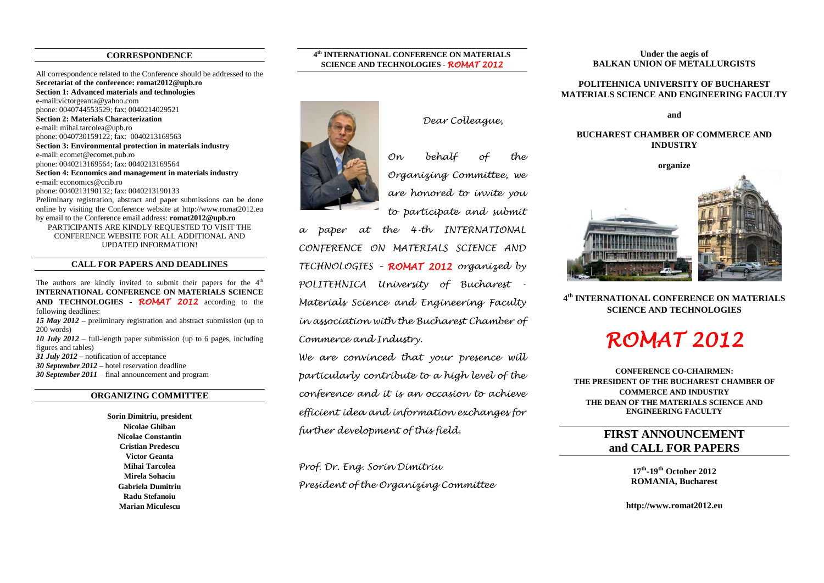### **CORRESPONDENCE**

All correspondence related to the Conference should be addressed to the **Secretariat of the conference: romat2012@upb.ro Section 1: Advanced materials and technologies** e-mail:victo[rgeanta@yahoo.com](mailto:geanta@yahoo.com) phone: 0040744553529; fax: 0040214029521 **Section 2: Materials Characterization** e-mail: mihai.tarcolea@upb.ro phone: 0040730159122; fax: 0040213169563 **Section 3: Environmental protection in materials industry** e-mail: ecomet@ecomet.pub.ro phone: 0040213169564; fax: 0040213169564 **Section 4: Economics and management in materials industry** e-mail: economics@ccib.ro phone: 0040213190132; fax: 0040213190133 Preliminary registration, abstract and paper submissions can be done online by visiting the Conference website at http://www.romat2012.eu by email to the Conference email address: **romat2012@upb.ro** PARTICIPANTS ARE KINDLY REQUESTED TO VISIT THE CONFERENCE WEBSITE FOR ALL ADDITIONAL AND UPDATED INFORMATION!

### **CALL FOR PAPERS AND DEADLINES**

The authors are kindly invited to submit their papers for the  $4<sup>th</sup>$ **INTERNATIONAL CONFERENCE ON MATERIALS SCIENCE AND TECHNOLOGIES -** *ROMAT 2012* according to the following deadlines: *15 May 2012 –* preliminary registration and abstract submission (up to 200 words) *10 July 2012* – full-length paper submission (up to 6 pages, including figures and tables) *31 July 2012* **–** notification of acceptance *30 September 2012 –* hotel reservation deadline

*30 September 2011* – final announcement and program

## **ORGANIZING COMMITTEE**

**Sorin Dimitriu, president Nicolae Ghiban Nicolae Constantin Cristian Predescu Victor Geanta Mihai Tarcolea Mirela Sohaciu Gabriela Dumitriu Radu Stefanoiu Marian Miculescu**





*On behalf of the Organizing Committee, we are honored to invite you* 

*to participate and submit* 

*a paper at the 4-th INTERNATIONAL CONFERENCE ON MATERIALS SCIENCE AND TECHNOLOGIES – ROMAT 2012 organized by POLITEHNICA University of Bucharest - Materials Science and Engineering Faculty in association with the Bucharest Chamber of Commerce and Industry.*

*We are convinced that your presence will particularly contribute to a high level of the conference and it is an occasion to achieve efficient idea and information exchanges for further development of this field.*

*Prof. Dr. Eng. Sorin Dimitriu President of the Organizing Committee*

#### **Under the aegis of BALKAN UNION OF METALLURGISTS**

#### **POLITEHNICA UNIVERSITY OF BUCHAREST MATERIALS SCIENCE AND ENGINEERING FACULTY**

**and** 

#### **BUCHAREST CHAMBER OF COMMERCE AND INDUSTRY**



**4 th INTERNATIONAL CONFERENCE ON MATERIALS SCIENCE AND TECHNOLOGIES**

# *ROMAT 2012*

**CONFERENCE CO-CHAIRMEN: THE PRESIDENT OF THE BUCHAREST CHAMBER OF COMMERCE AND INDUSTRY THE DEAN OF THE MATERIALS SCIENCE AND ENGINEERING FACULTY**

# **FIRST ANNOUNCEMENT and CALL FOR PAPERS**

**17th -19th October 2012 ROMANIA, Bucharest**

**http://www.romat2012.eu**